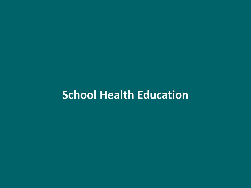# **School Health Education**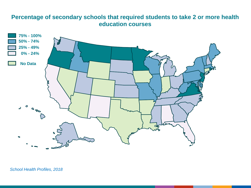#### **Percentage of secondary schools that required students to take 2 or more health education courses**

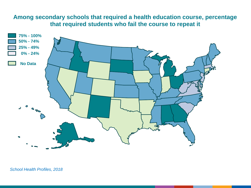## **Among secondary schools that required a health education course, percentage that required students who fail the course to repeat it**

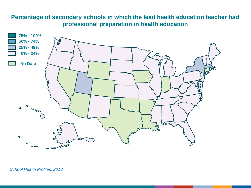# **Percentage of secondary schools in which the lead health education teacher had professional preparation in health education**

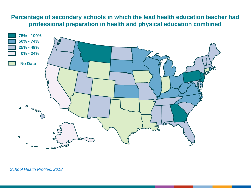# **Percentage of secondary schools in which the lead health education teacher had professional preparation in health and physical education combined**

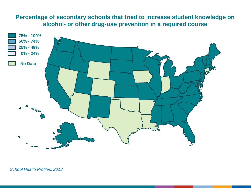## **Percentage of secondary schools that tried to increase student knowledge on alcohol- or other drug-use prevention in a required course**

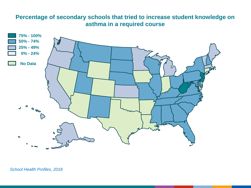# **Percentage of secondary schools that tried to increase student knowledge on asthma in a required course**

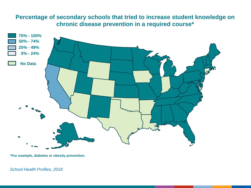# **Percentage of secondary schools that tried to increase student knowledge on chronic disease prevention in a required course\***



**\*For example, diabetes or obesity prevention.**

*School Health Profiles, 2018*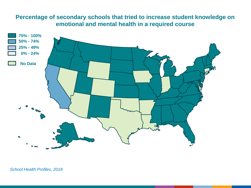# **Percentage of secondary schools that tried to increase student knowledge on emotional and mental health in a required course**

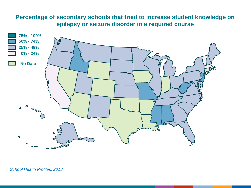# **Percentage of secondary schools that tried to increase student knowledge on epilepsy or seizure disorder in a required course**

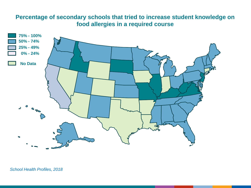# **Percentage of secondary schools that tried to increase student knowledge on food allergies in a required course**

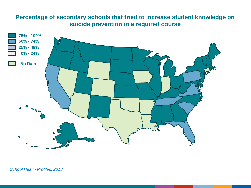# **Percentage of secondary schools that tried to increase student knowledge on suicide prevention in a required course**

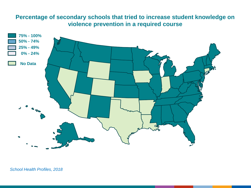# **Percentage of secondary schools that tried to increase student knowledge on violence prevention in a required course**

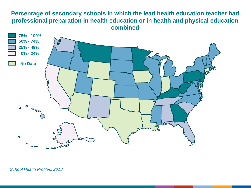# **Percentage of secondary schools in which the lead health education teacher had professional preparation in health education or in health and physical education combined**

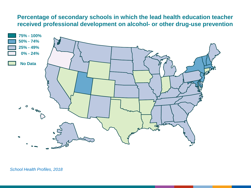### **Percentage of secondary schools in which the lead health education teacher received professional development on alcohol- or other drug-use prevention**

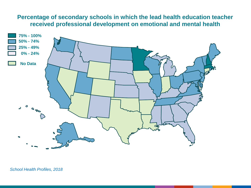# **Percentage of secondary schools in which the lead health education teacher received professional development on emotional and mental health**

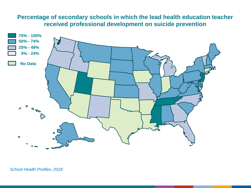# **Percentage of secondary schools in which the lead health education teacher received professional development on suicide prevention**